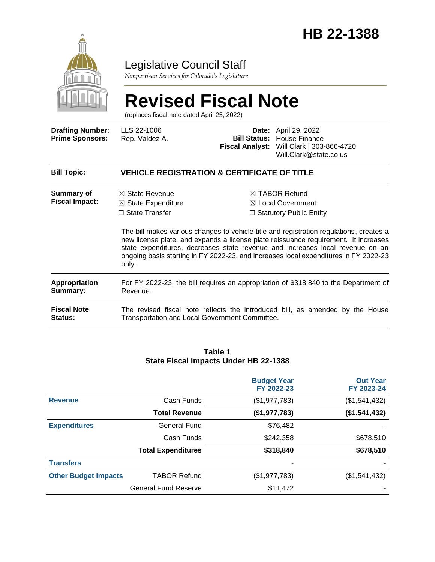

## Legislative Council Staff

*Nonpartisan Services for Colorado's Legislature*

# **Revised Fiscal Note**

(replaces fiscal note dated April 25, 2022)

| <b>Drafting Number:</b><br><b>Prime Sponsors:</b> | LLS 22-1006<br>Rep. Valdez A.                                                                                                   | Date:<br><b>Bill Status:</b> | April 29, 2022<br>House Finance<br>Fiscal Analyst: Will Clark   303-866-4720<br>Will.Clark@state.co.us                                                                                                                                                                                                                                                                                                                                                |
|---------------------------------------------------|---------------------------------------------------------------------------------------------------------------------------------|------------------------------|-------------------------------------------------------------------------------------------------------------------------------------------------------------------------------------------------------------------------------------------------------------------------------------------------------------------------------------------------------------------------------------------------------------------------------------------------------|
| <b>Bill Topic:</b>                                | <b>VEHICLE REGISTRATION &amp; CERTIFICATE OF TITLE</b>                                                                          |                              |                                                                                                                                                                                                                                                                                                                                                                                                                                                       |
| Summary of<br><b>Fiscal Impact:</b>               | $\boxtimes$ State Revenue<br>$\boxtimes$ State Expenditure<br>$\Box$ State Transfer<br>only.                                    |                              | $\boxtimes$ TABOR Refund<br>$\boxtimes$ Local Government<br>$\Box$ Statutory Public Entity<br>The bill makes various changes to vehicle title and registration regulations, creates a<br>new license plate, and expands a license plate reissuance requirement. It increases<br>state expenditures, decreases state revenue and increases local revenue on an<br>ongoing basis starting in FY 2022-23, and increases local expenditures in FY 2022-23 |
| <b>Appropriation</b><br>Summary:                  | For FY 2022-23, the bill requires an appropriation of \$318,840 to the Department of<br>Revenue.                                |                              |                                                                                                                                                                                                                                                                                                                                                                                                                                                       |
| <b>Fiscal Note</b><br><b>Status:</b>              | The revised fiscal note reflects the introduced bill, as amended by the House<br>Transportation and Local Government Committee. |                              |                                                                                                                                                                                                                                                                                                                                                                                                                                                       |

#### **Table 1 State Fiscal Impacts Under HB 22-1388**

|                             |                             | <b>Budget Year</b><br>FY 2022-23 | <b>Out Year</b><br>FY 2023-24 |
|-----------------------------|-----------------------------|----------------------------------|-------------------------------|
| <b>Revenue</b>              | Cash Funds                  | (\$1,977,783)                    | (\$1,541,432)                 |
|                             | <b>Total Revenue</b>        | (\$1,977,783)                    | (\$1,541,432)                 |
| <b>Expenditures</b>         | General Fund                | \$76,482                         |                               |
|                             | Cash Funds                  | \$242,358                        | \$678,510                     |
|                             | <b>Total Expenditures</b>   | \$318,840                        | \$678,510                     |
| <b>Transfers</b>            |                             |                                  |                               |
| <b>Other Budget Impacts</b> | <b>TABOR Refund</b>         | (\$1,977,783)                    | (\$1,541,432)                 |
|                             | <b>General Fund Reserve</b> | \$11,472                         |                               |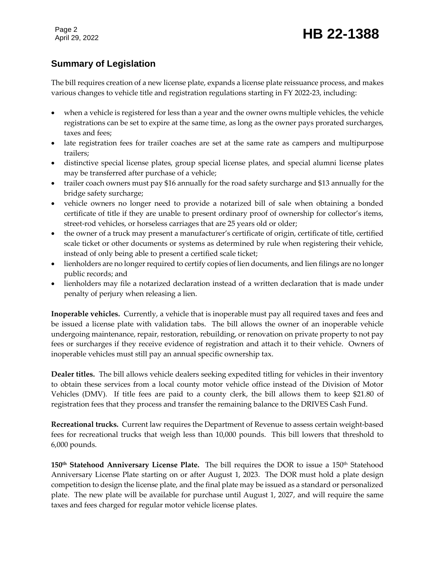Page 2

## Page 2<br>April 29, 2022 **HB 22-1388**

## **Summary of Legislation**

The bill requires creation of a new license plate, expands a license plate reissuance process, and makes various changes to vehicle title and registration regulations starting in FY 2022-23, including:

- when a vehicle is registered for less than a year and the owner owns multiple vehicles, the vehicle registrations can be set to expire at the same time, as long as the owner pays prorated surcharges, taxes and fees;
- late registration fees for trailer coaches are set at the same rate as campers and multipurpose trailers;
- distinctive special license plates, group special license plates, and special alumni license plates may be transferred after purchase of a vehicle;
- trailer coach owners must pay \$16 annually for the road safety surcharge and \$13 annually for the bridge safety surcharge;
- vehicle owners no longer need to provide a notarized bill of sale when obtaining a bonded certificate of title if they are unable to present ordinary proof of ownership for collector's items, street-rod vehicles, or horseless carriages that are 25 years old or older;
- the owner of a truck may present a manufacturer's certificate of origin, certificate of title, certified scale ticket or other documents or systems as determined by rule when registering their vehicle, instead of only being able to present a certified scale ticket;
- lienholders are no longer required to certify copies of lien documents, and lien filings are no longer public records; and
- lienholders may file a notarized declaration instead of a written declaration that is made under penalty of perjury when releasing a lien.

**Inoperable vehicles.** Currently, a vehicle that is inoperable must pay all required taxes and fees and be issued a license plate with validation tabs. The bill allows the owner of an inoperable vehicle undergoing maintenance, repair, restoration, rebuilding, or renovation on private property to not pay fees or surcharges if they receive evidence of registration and attach it to their vehicle. Owners of inoperable vehicles must still pay an annual specific ownership tax.

**Dealer titles.** The bill allows vehicle dealers seeking expedited titling for vehicles in their inventory to obtain these services from a local county motor vehicle office instead of the Division of Motor Vehicles (DMV). If title fees are paid to a county clerk, the bill allows them to keep \$21.80 of registration fees that they process and transfer the remaining balance to the DRIVES Cash Fund.

**Recreational trucks.** Current law requires the Department of Revenue to assess certain weight-based fees for recreational trucks that weigh less than 10,000 pounds. This bill lowers that threshold to 6,000 pounds.

**150th Statehood Anniversary License Plate.** The bill requires the DOR to issue a 150th Statehood Anniversary License Plate starting on or after August 1, 2023. The DOR must hold a plate design competition to design the license plate, and the final plate may be issued as a standard or personalized plate. The new plate will be available for purchase until August 1, 2027, and will require the same taxes and fees charged for regular motor vehicle license plates.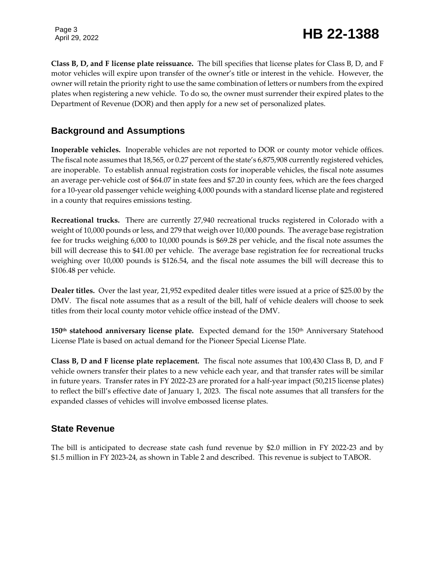Page 3

## Page 3<br>April 29, 2022 **HB 22-1388**

**Class B, D, and F license plate reissuance.** The bill specifies that license plates for Class B, D, and F motor vehicles will expire upon transfer of the owner's title or interest in the vehicle. However, the owner will retain the priority right to use the same combination of letters or numbers from the expired plates when registering a new vehicle. To do so, the owner must surrender their expired plates to the Department of Revenue (DOR) and then apply for a new set of personalized plates.

### **Background and Assumptions**

**Inoperable vehicles.** Inoperable vehicles are not reported to DOR or county motor vehicle offices. The fiscal note assumes that 18,565, or 0.27 percent of the state's 6,875,908 currently registered vehicles, are inoperable. To establish annual registration costs for inoperable vehicles, the fiscal note assumes an average per-vehicle cost of \$64.07 in state fees and \$7.20 in county fees, which are the fees charged for a 10-year old passenger vehicle weighing 4,000 pounds with a standard license plate and registered in a county that requires emissions testing.

**Recreational trucks.** There are currently 27,940 recreational trucks registered in Colorado with a weight of 10,000 pounds or less, and 279 that weigh over 10,000 pounds. The average base registration fee for trucks weighing 6,000 to 10,000 pounds is \$69.28 per vehicle, and the fiscal note assumes the bill will decrease this to \$41.00 per vehicle. The average base registration fee for recreational trucks weighing over 10,000 pounds is \$126.54, and the fiscal note assumes the bill will decrease this to \$106.48 per vehicle.

**Dealer titles.** Over the last year, 21,952 expedited dealer titles were issued at a price of \$25.00 by the DMV. The fiscal note assumes that as a result of the bill, half of vehicle dealers will choose to seek titles from their local county motor vehicle office instead of the DMV.

**150th statehood anniversary license plate.** Expected demand for the 150th Anniversary Statehood License Plate is based on actual demand for the Pioneer Special License Plate.

**Class B, D and F license plate replacement.** The fiscal note assumes that 100,430 Class B, D, and F vehicle owners transfer their plates to a new vehicle each year, and that transfer rates will be similar in future years. Transfer rates in FY 2022-23 are prorated for a half-year impact (50,215 license plates) to reflect the bill's effective date of January 1, 2023. The fiscal note assumes that all transfers for the expanded classes of vehicles will involve embossed license plates.

### **State Revenue**

The bill is anticipated to decrease state cash fund revenue by \$2.0 million in FY 2022-23 and by \$1.5 million in FY 2023-24, as shown in Table 2 and described. This revenue is subject to TABOR.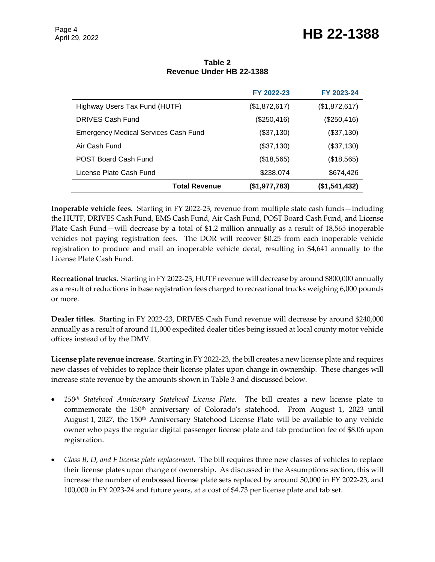## Page 4<br>April 29, 2022 **HB 22-1388**

|                                             |                      | FY 2022-23    | FY 2023-24    |
|---------------------------------------------|----------------------|---------------|---------------|
| Highway Users Tax Fund (HUTF)               |                      | (\$1,872,617) | (\$1,872,617) |
| DRIVES Cash Fund                            |                      | (\$250,416)   | (\$250,416)   |
| <b>Emergency Medical Services Cash Fund</b> |                      | (\$37,130)    | (\$37,130)    |
| Air Cash Fund                               |                      | (\$37,130)    | (\$37,130)    |
| <b>POST Board Cash Fund</b>                 |                      | (\$18,565)    | (\$18,565)    |
| License Plate Cash Fund                     |                      | \$238,074     | \$674,426     |
|                                             | <b>Total Revenue</b> | (\$1,977,783) | (\$1,541,432) |

#### **Table 2 Revenue Under HB 22-1388**

**Inoperable vehicle fees.** Starting in FY 2022-23, revenue from multiple state cash funds—including the HUTF, DRIVES Cash Fund, EMS Cash Fund, Air Cash Fund, POST Board Cash Fund, and License Plate Cash Fund—will decrease by a total of \$1.2 million annually as a result of 18,565 inoperable vehicles not paying registration fees. The DOR will recover \$0.25 from each inoperable vehicle registration to produce and mail an inoperable vehicle decal, resulting in \$4,641 annually to the License Plate Cash Fund.

**Recreational trucks.** Starting in FY 2022-23, HUTF revenue will decrease by around \$800,000 annually as a result of reductions in base registration fees charged to recreational trucks weighing 6,000 pounds or more.

**Dealer titles.** Starting in FY 2022-23, DRIVES Cash Fund revenue will decrease by around \$240,000 annually as a result of around 11,000 expedited dealer titles being issued at local county motor vehicle offices instead of by the DMV.

**License plate revenue increase.** Starting in FY 2022-23, the bill creates a new license plate and requires new classes of vehicles to replace their license plates upon change in ownership. These changes will increase state revenue by the amounts shown in Table 3 and discussed below.

- *150th Statehood Anniversary Statehood License Plate.* The bill creates a new license plate to commemorate the 150<sup>th</sup> anniversary of Colorado's statehood. From August 1, 2023 until August 1, 2027, the 150<sup>th</sup> Anniversary Statehood License Plate will be available to any vehicle owner who pays the regular digital passenger license plate and tab production fee of \$8.06 upon registration.
- *Class B, D, and F license plate replacement.* The bill requires three new classes of vehicles to replace their license plates upon change of ownership. As discussed in the Assumptions section, this will increase the number of embossed license plate sets replaced by around 50,000 in FY 2022-23, and 100,000 in FY 2023-24 and future years, at a cost of \$4.73 per license plate and tab set.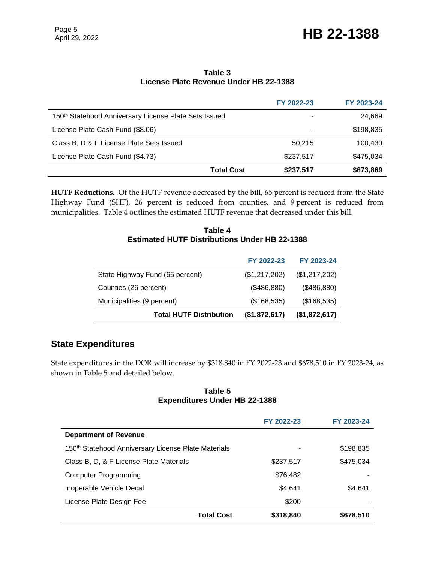## Page 5<br>April 29, 2022 **HB 22-1388**

#### **Table 3 License Plate Revenue Under HB 22-1388**

|                                                                   |                   | FY 2022-23 | FY 2023-24 |
|-------------------------------------------------------------------|-------------------|------------|------------|
| 150 <sup>th</sup> Statehood Anniversary License Plate Sets Issued |                   | ۰          | 24,669     |
| License Plate Cash Fund (\$8.06)                                  |                   | ٠          | \$198,835  |
| Class B, D & F License Plate Sets Issued                          |                   | 50.215     | 100,430    |
| License Plate Cash Fund (\$4.73)                                  |                   | \$237,517  | \$475,034  |
|                                                                   | <b>Total Cost</b> | \$237,517  | \$673,869  |

**HUTF Reductions.** Of the HUTF revenue decreased by the bill, 65 percent is reduced from the State Highway Fund (SHF), 26 percent is reduced from counties, and 9 percent is reduced from municipalities. Table 4 outlines the estimated HUTF revenue that decreased under this bill.

#### **Table 4 Estimated HUTF Distributions Under HB 22-1388**

|                                 | FY 2022-23    | FY 2023-24    |
|---------------------------------|---------------|---------------|
| State Highway Fund (65 percent) | (\$1,217,202) | (\$1,217,202) |
| Counties (26 percent)           | (\$486,880)   | (\$486,880)   |
| Municipalities (9 percent)      | (\$168,535)   | (\$168,535)   |
| <b>Total HUTF Distribution</b>  | (\$1,872,617) | (\$1,872,617) |

### **State Expenditures**

State expenditures in the DOR will increase by \$318,840 in FY 2022-23 and \$678,510 in FY 2023-24, as shown in Table 5 and detailed below.

#### **Table 5 Expenditures Under HB 22-1388**

|                                                                 |                   | FY 2022-23 | FY 2023-24 |
|-----------------------------------------------------------------|-------------------|------------|------------|
| <b>Department of Revenue</b>                                    |                   |            |            |
| 150 <sup>th</sup> Statehood Anniversary License Plate Materials |                   |            | \$198,835  |
| Class B, D, & F License Plate Materials                         |                   | \$237,517  | \$475,034  |
| <b>Computer Programming</b>                                     |                   | \$76,482   |            |
| Inoperable Vehicle Decal                                        |                   | \$4.641    | \$4.641    |
| License Plate Design Fee                                        |                   | \$200      |            |
|                                                                 | <b>Total Cost</b> | \$318,840  | \$678,510  |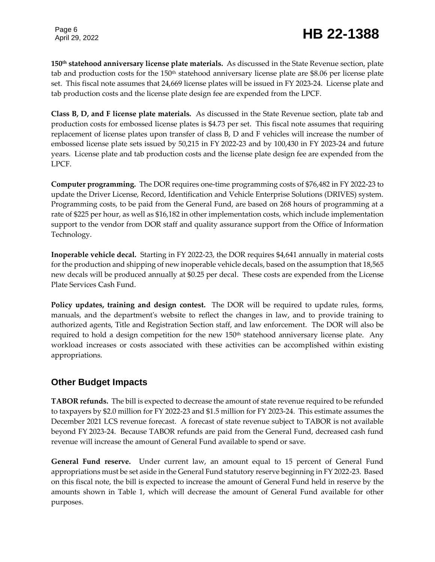## Page 6<br>April 29, 2022 **HB 22-1388**

**150th statehood anniversary license plate materials.** As discussed in the State Revenue section, plate tab and production costs for the 150th statehood anniversary license plate are \$8.06 per license plate set. This fiscal note assumes that 24,669 license plates will be issued in FY 2023-24. License plate and tab production costs and the license plate design fee are expended from the LPCF.

**Class B, D, and F license plate materials.** As discussed in the State Revenue section, plate tab and production costs for embossed license plates is \$4.73 per set. This fiscal note assumes that requiring replacement of license plates upon transfer of class B, D and F vehicles will increase the number of embossed license plate sets issued by 50,215 in FY 2022-23 and by 100,430 in FY 2023-24 and future years. License plate and tab production costs and the license plate design fee are expended from the LPCF.

**Computer programming.** The DOR requires one-time programming costs of \$76,482 in FY 2022-23 to update the Driver License, Record, Identification and Vehicle Enterprise Solutions (DRIVES) system. Programming costs, to be paid from the General Fund, are based on 268 hours of programming at a rate of \$225 per hour, as well as \$16,182 in other implementation costs, which include implementation support to the vendor from DOR staff and quality assurance support from the Office of Information Technology.

**Inoperable vehicle decal.** Starting in FY 2022-23, the DOR requires \$4,641 annually in material costs for the production and shipping of new inoperable vehicle decals, based on the assumption that 18,565 new decals will be produced annually at \$0.25 per decal. These costs are expended from the License Plate Services Cash Fund.

**Policy updates, training and design contest.** The DOR will be required to update rules, forms, manuals, and the department's website to reflect the changes in law, and to provide training to authorized agents, Title and Registration Section staff, and law enforcement. The DOR will also be required to hold a design competition for the new 150<sup>th</sup> statehood anniversary license plate. Any workload increases or costs associated with these activities can be accomplished within existing appropriations.

## **Other Budget Impacts**

**TABOR refunds.** The bill is expected to decrease the amount of state revenue required to be refunded to taxpayers by \$2.0 million for FY 2022-23 and \$1.5 million for FY 2023-24. This estimate assumes the December 2021 LCS revenue forecast. A forecast of state revenue subject to TABOR is not available beyond FY 2023-24. Because TABOR refunds are paid from the General Fund, decreased cash fund revenue will increase the amount of General Fund available to spend or save.

**General Fund reserve.** Under current law, an amount equal to 15 percent of General Fund appropriations must be set aside in the General Fund statutory reserve beginning in FY 2022-23. Based on this fiscal note, the bill is expected to increase the amount of General Fund held in reserve by the amounts shown in Table 1, which will decrease the amount of General Fund available for other purposes.